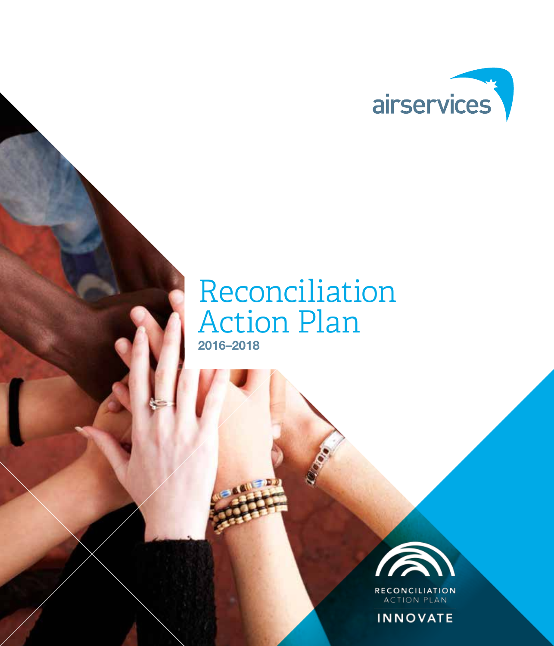

### Reconciliation Action Plan 2016–2018



**ACTION PLAN** 

**INNOVATE**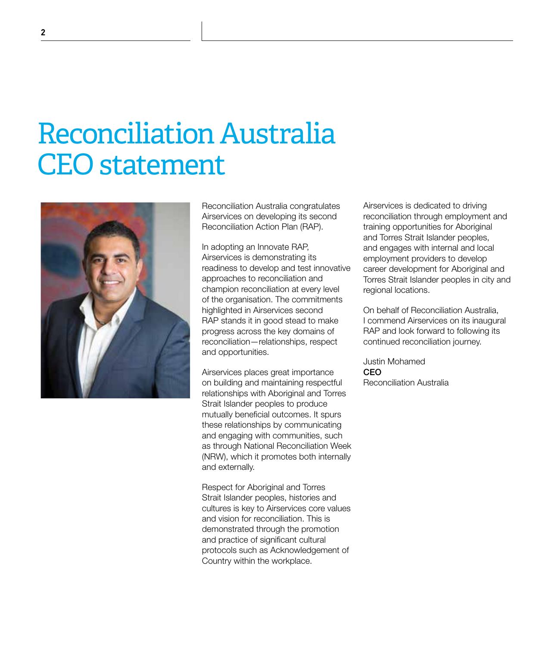### Reconciliation Australia CEO statement



Reconciliation Australia congratulates Airservices on developing its second Reconciliation Action Plan (RAP).

In adopting an Innovate RAP, Airservices is demonstrating its readiness to develop and test innovative approaches to reconciliation and champion reconciliation at every level of the organisation. The commitments highlighted in Airservices second RAP stands it in good stead to make progress across the key domains of reconciliation—relationships, respect and opportunities.

Airservices places great importance on building and maintaining respectful relationships with Aboriginal and Torres Strait Islander peoples to produce mutually beneficial outcomes. It spurs these relationships by communicating and engaging with communities, such as through National Reconciliation Week (NRW), which it promotes both internally and externally.

Respect for Aboriginal and Torres Strait Islander peoples, histories and cultures is key to Airservices core values and vision for reconciliation. This is demonstrated through the promotion and practice of significant cultural protocols such as Acknowledgement of Country within the workplace.

Airservices is dedicated to driving reconciliation through employment and training opportunities for Aboriginal and Torres Strait Islander peoples, and engages with internal and local employment providers to develop career development for Aboriginal and Torres Strait Islander peoples in city and regional locations.

On behalf of Reconciliation Australia, I commend Airservices on its inaugural RAP and look forward to following its continued reconciliation journey.

Justin Mohamed CEO Reconciliation Australia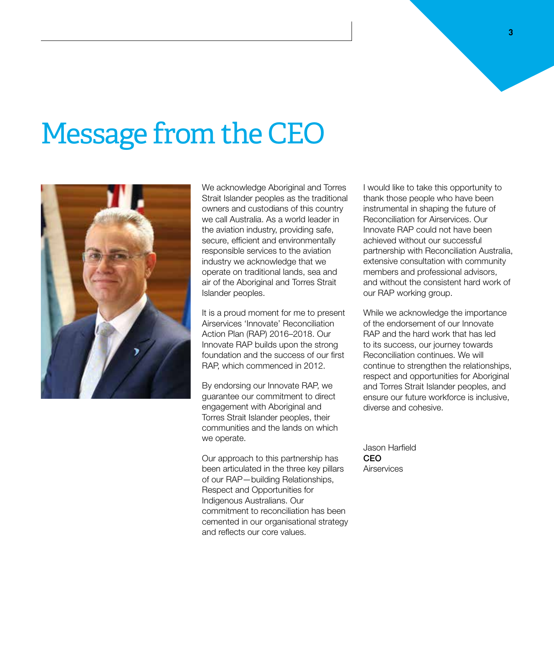## Message from the CEO



We acknowledge Aboriginal and Torres Strait Islander peoples as the traditional owners and custodians of this country we call Australia. As a world leader in the aviation industry, providing safe, secure, efficient and environmentally responsible services to the aviation industry we acknowledge that we operate on traditional lands, sea and air of the Aboriginal and Torres Strait Islander peoples.

It is a proud moment for me to present Airservices 'Innovate' Reconciliation Action Plan (RAP) 2016–2018. Our Innovate RAP builds upon the strong foundation and the success of our first RAP, which commenced in 2012.

By endorsing our Innovate RAP, we guarantee our commitment to direct engagement with Aboriginal and Torres Strait Islander peoples, their communities and the lands on which we operate.

Our approach to this partnership has been articulated in the three key pillars of our RAP—building Relationships, Respect and Opportunities for Indigenous Australians. Our commitment to reconciliation has been cemented in our organisational strategy and reflects our core values.

I would like to take this opportunity to thank those people who have been instrumental in shaping the future of Reconciliation for Airservices. Our Innovate RAP could not have been achieved without our successful partnership with Reconciliation Australia, extensive consultation with community members and professional advisors, and without the consistent hard work of our RAP working group.

While we acknowledge the importance of the endorsement of our Innovate RAP and the hard work that has led to its success, our journey towards Reconciliation continues. We will continue to strengthen the relationships, respect and opportunities for Aboriginal and Torres Strait Islander peoples, and ensure our future workforce is inclusive, diverse and cohesive.

Jason Harfield CEO **Airservices**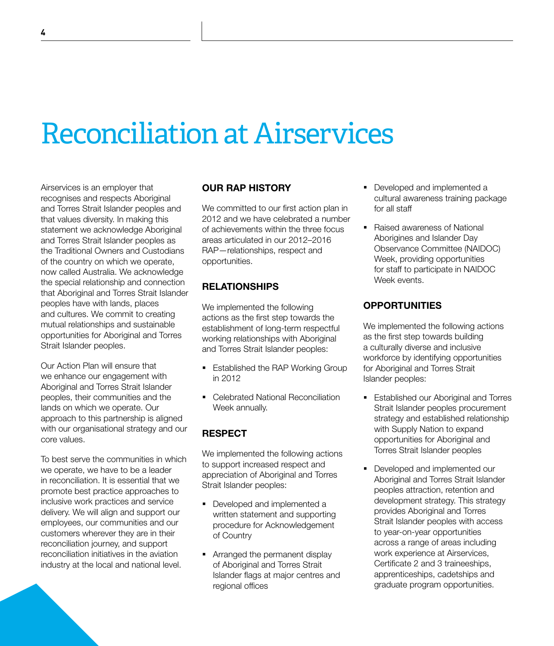# Reconciliation at Airservices

Airservices is an employer that recognises and respects Aboriginal and Torres Strait Islander peoples and that values diversity. In making this statement we acknowledge Aboriginal and Torres Strait Islander peoples as the Traditional Owners and Custodians of the country on which we operate, now called Australia. We acknowledge the special relationship and connection that Aboriginal and Torres Strait Islander peoples have with lands, places and cultures. We commit to creating mutual relationships and sustainable opportunities for Aboriginal and Torres Strait Islander peoples.

Our Action Plan will ensure that we enhance our engagement with Aboriginal and Torres Strait Islander peoples, their communities and the lands on which we operate. Our approach to this partnership is aligned with our organisational strategy and our core values.

To best serve the communities in which we operate, we have to be a leader in reconciliation. It is essential that we promote best practice approaches to inclusive work practices and service delivery. We will align and support our employees, our communities and our customers wherever they are in their reconciliation journey, and support reconciliation initiatives in the aviation industry at the local and national level.

### OUR RAP HISTORY

We committed to our first action plan in 2012 and we have celebrated a number of achievements within the three focus areas articulated in our 2012–2016 RAP—relationships, respect and opportunities.

### **RELATIONSHIPS**

We implemented the following actions as the first step towards the establishment of long-term respectful working relationships with Aboriginal and Torres Strait Islander peoples:

- **Established the RAP Working Group** in 2012
- Celebrated National Reconciliation Week annually.

### RESPECT

We implemented the following actions to support increased respect and appreciation of Aboriginal and Torres Strait Islander peoples:

- Developed and implemented a written statement and supporting procedure for Acknowledgement of Country
- Arranged the permanent display of Aboriginal and Torres Strait Islander flags at major centres and regional offices
- Developed and implemented a cultural awareness training package for all staff
- Raised awareness of National Aborigines and Islander Day Observance Committee (NAIDOC) Week, providing opportunities for staff to participate in NAIDOC Week events.

### **OPPORTUNITIES**

We implemented the following actions as the first step towards building a culturally diverse and inclusive workforce by identifying opportunities for Aboriginal and Torres Strait Islander peoples:

- **Established our Aboriginal and Torres** Strait Islander peoples procurement strategy and established relationship with Supply Nation to expand opportunities for Aboriginal and Torres Strait Islander peoples
- **Developed and implemented our** Aboriginal and Torres Strait Islander peoples attraction, retention and development strategy. This strategy provides Aboriginal and Torres Strait Islander peoples with access to year-on-year opportunities across a range of areas including work experience at Airservices, Certificate 2 and 3 traineeships, apprenticeships, cadetships and graduate program opportunities.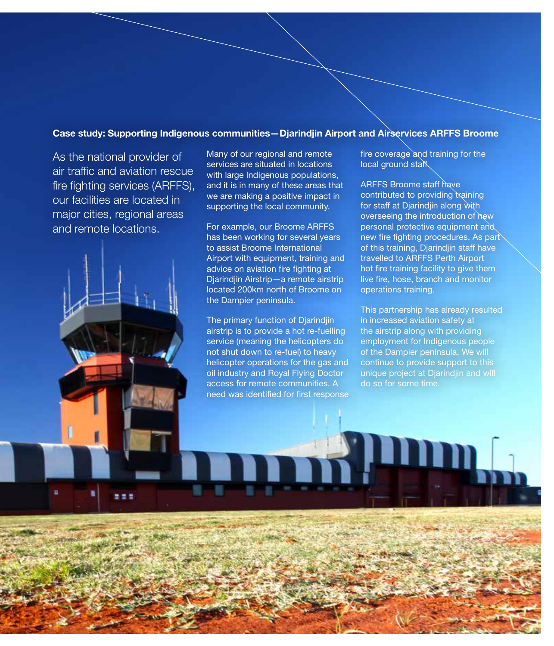### Case study: Supporting Indigenous communities—Djarindjin Airport and Airservices ARFFS Broome

As the national provider of air traffic and aviation rescue fire fighting services (ARFFS), our facilities are located in major cities, regional areas and remote locations.

Many of our regional and remote services are situated in locations with large Indigenous populations, and it is in many of these areas that we are making a positive impact in supporting the local community.

For example, our Broome ARFFS has been working for several years to assist Broome International Airport with equipment, training and advice on aviation fire fighting at Djarindjin Airstrip—a remote airstrip located 200km north of Broome on the Dampier peninsula.

The primary function of Djarindjin airstrip is to provide a hot re-fuelling service (meaning the helicopters do not shut down to re-fuel) to heavy helicopter operations for the gas and oil industry and Royal Flying Doctor access for remote communities. A need was identified for first response

fire coverage and training for the local ground staff.

ARFFS Broome staff have contributed to providing training for staff at Djarindjin along with overseeing the introduction of new personal protective equipment and new fire fighting procedures. As part of this training, Djarindjin staff have travelled to ARFFS Perth Airport hot fire training facility to give them live fire, hose, branch and monitor operations training.

This partnership has already resulted in increased aviation safety at the airstrip along with providing employment for Indigenous people of the Dampier peninsula. We will continue to provide support to this unique project at Djarindjin and will do so for some time.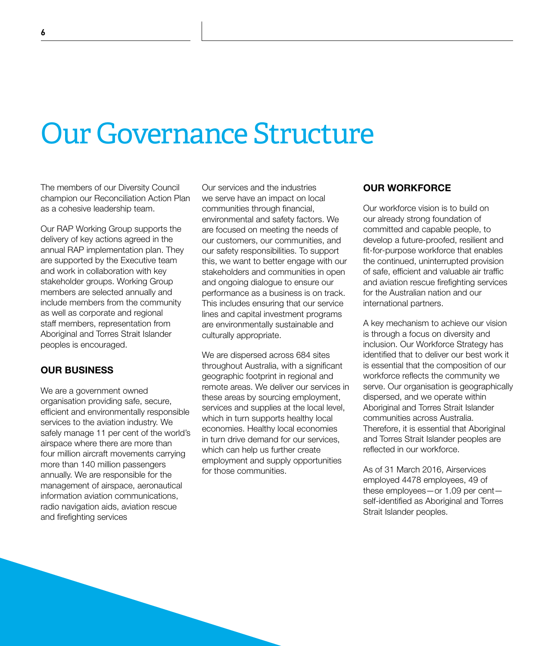### Our Governance Structure

The members of our Diversity Council champion our Reconciliation Action Plan as a cohesive leadership team.

Our RAP Working Group supports the delivery of key actions agreed in the annual RAP implementation plan. They are supported by the Executive team and work in collaboration with key stakeholder groups. Working Group members are selected annually and include members from the community as well as corporate and regional staff members, representation from Aboriginal and Torres Strait Islander peoples is encouraged.

### OUR BUSINESS

We are a government owned organisation providing safe, secure, efficient and environmentally responsible services to the aviation industry. We safely manage 11 per cent of the world's airspace where there are more than four million aircraft movements carrying more than 140 million passengers annually. We are responsible for the management of airspace, aeronautical information aviation communications, radio navigation aids, aviation rescue and firefighting services

Our services and the industries we serve have an impact on local communities through financial, environmental and safety factors. We are focused on meeting the needs of our customers, our communities, and our safety responsibilities. To support this, we want to better engage with our stakeholders and communities in open and ongoing dialogue to ensure our performance as a business is on track. This includes ensuring that our service lines and capital investment programs are environmentally sustainable and culturally appropriate.

We are dispersed across 684 sites throughout Australia, with a significant geographic footprint in regional and remote areas. We deliver our services in these areas by sourcing employment, services and supplies at the local level, which in turn supports healthy local economies. Healthy local economies in turn drive demand for our services, which can help us further create employment and supply opportunities for those communities.

### OUR WORKFORCE

Our workforce vision is to build on our already strong foundation of committed and capable people, to develop a future-proofed, resilient and fit-for-purpose workforce that enables the continued, uninterrupted provision of safe, efficient and valuable air traffic and aviation rescue firefighting services for the Australian nation and our international partners.

A key mechanism to achieve our vision is through a focus on diversity and inclusion. Our Workforce Strategy has identified that to deliver our best work it is essential that the composition of our workforce reflects the community we serve. Our organisation is geographically dispersed, and we operate within Aboriginal and Torres Strait Islander communities across Australia. Therefore, it is essential that Aboriginal and Torres Strait Islander peoples are reflected in our workforce.

As of 31 March 2016, Airservices employed 4478 employees, 49 of these employees—or 1.09 per cent self-identified as Aboriginal and Torres Strait Islander peoples.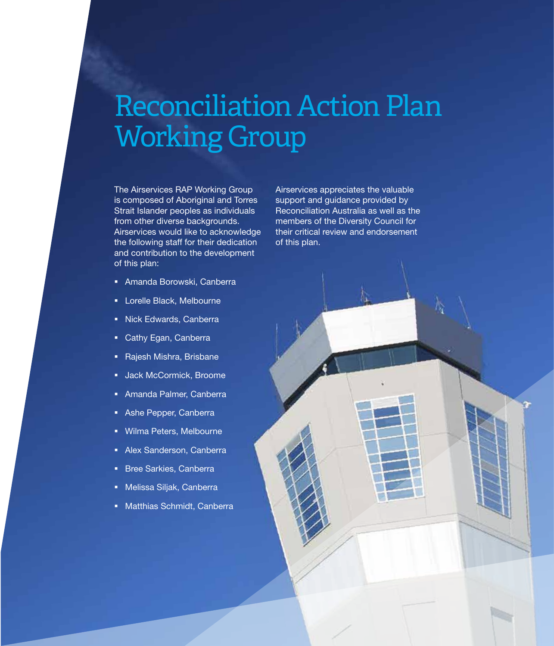### Reconciliation Action Plan Working Group

The Airservices RAP Working Group is composed of Aboriginal and Torres Strait Islander peoples as individuals from other diverse backgrounds. Airservices would like to acknowledge the following staff for their dedication and contribution to the development of this plan:

- Amanda Borowski, Canberra
- **-** Lorelle Black, Melbourne
- Nick Edwards, Canberra
- **Cathy Egan, Canberra**
- **Rajesh Mishra, Brisbane**
- **Jack McCormick, Broome**
- Amanda Palmer, Canberra
- Ashe Pepper, Canberra
- Wilma Peters, Melbourne
- Alex Sanderson, Canberra
- **Bree Sarkies, Canberra**
- Melissa Siljak, Canberra
- Matthias Schmidt, Canberra

Airservices appreciates the valuable support and guidance provided by Reconciliation Australia as well as the members of the Diversity Council for their critical review and endorsement of this plan.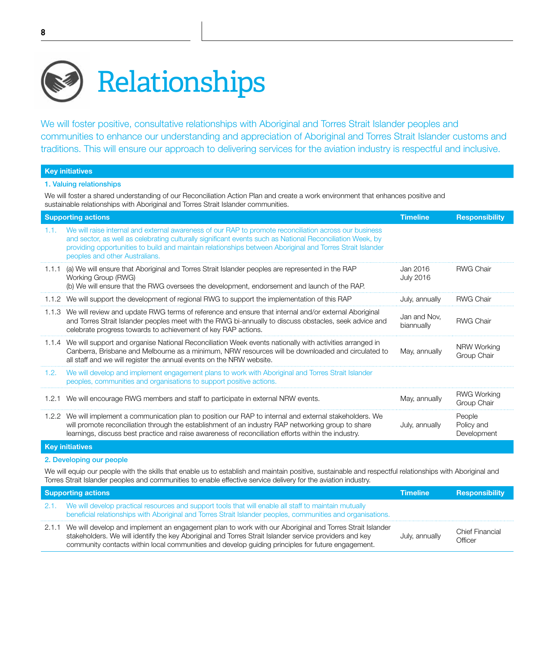

We will foster positive, consultative relationships with Aboriginal and Torres Strait Islander peoples and communities to enhance our understanding and appreciation of Aboriginal and Torres Strait Islander customs and traditions. This will ensure our approach to delivering services for the aviation industry is respectful and inclusive.

#### Key initiatives

#### 1. Valuing relationships

We will foster a shared understanding of our Reconciliation Action Plan and create a work environment that enhances positive and sustainable relationships with Aboriginal and Torres Strait Islander communities.

| <b>Supporting actions</b> |                                                                                                                                                                                                                                                                                                                                                                    | <b>Timeline</b>              | <b>Responsibility</b>               |
|---------------------------|--------------------------------------------------------------------------------------------------------------------------------------------------------------------------------------------------------------------------------------------------------------------------------------------------------------------------------------------------------------------|------------------------------|-------------------------------------|
| 1.1.                      | We will raise internal and external awareness of our RAP to promote reconciliation across our business<br>and sector, as well as celebrating culturally significant events such as National Reconciliation Week, by<br>providing opportunities to build and maintain relationships between Aboriginal and Torres Strait Islander<br>peoples and other Australians. |                              |                                     |
|                           | 1.1.1 (a) We will ensure that Aboriginal and Torres Strait Islander peoples are represented in the RAP<br>Working Group (RWG)<br>(b) We will ensure that the RWG oversees the development, endorsement and launch of the RAP.                                                                                                                                      | Jan 2016<br><b>July 2016</b> | <b>RWG Chair</b>                    |
|                           | 1.1.2 We will support the development of regional RWG to support the implementation of this RAP                                                                                                                                                                                                                                                                    | July, annually               | <b>RWG Chair</b>                    |
|                           | 1.1.3 We will review and update RWG terms of reference and ensure that internal and/or external Aboriginal<br>and Torres Strait Islander peoples meet with the RWG bi-annually to discuss obstacles, seek advice and<br>celebrate progress towards to achievement of key RAP actions.                                                                              | Jan and Nov.<br>biannually   | <b>RWG Chair</b>                    |
|                           | 1.1.4 We will support and organise National Reconciliation Week events nationally with activities arranged in<br>Canberra, Brisbane and Melbourne as a minimum, NRW resources will be downloaded and circulated to<br>all staff and we will register the annual events on the NRW website.                                                                         | May, annually                | NRW Working<br>Group Chair          |
| 1.2.                      | We will develop and implement engagement plans to work with Aboriginal and Torres Strait Islander<br>peoples, communities and organisations to support positive actions.                                                                                                                                                                                           |                              |                                     |
|                           | 1.2.1 We will encourage RWG members and staff to participate in external NRW events.                                                                                                                                                                                                                                                                               | May, annually                | <b>RWG Working</b><br>Group Chair   |
|                           | 1.2.2 We will implement a communication plan to position our RAP to internal and external stakeholders. We<br>will promote reconciliation through the establishment of an industry RAP networking group to share<br>learnings, discuss best practice and raise awareness of reconciliation efforts within the industry.                                            | July, annually               | People<br>Policy and<br>Development |
| <b>Key initiatives</b>    |                                                                                                                                                                                                                                                                                                                                                                    |                              |                                     |

### 2. Developing our people

We will equip our people with the skills that enable us to establish and maintain positive, sustainable and respectful relationships with Aboriginal and Torres Strait Islander peoples and communities to enable effective service delivery for the aviation industry.

| <b>Supporting actions</b> |                                                                                                                                                                                                                                                                                                                              | <b>Timeline</b> | <b>Responsibility</b>             |
|---------------------------|------------------------------------------------------------------------------------------------------------------------------------------------------------------------------------------------------------------------------------------------------------------------------------------------------------------------------|-----------------|-----------------------------------|
|                           | 2.1. We will develop practical resources and support tools that will enable all staff to maintain mutually<br>beneficial relationships with Aboriginal and Torres Strait Islander peoples, communities and organisations.                                                                                                    |                 |                                   |
|                           | 2.1.1 We will develop and implement an engagement plan to work with our Aboriginal and Torres Strait Islander<br>stakeholders. We will identify the key Aboriginal and Torres Strait Islander service providers and key<br>community contacts within local communities and develop guiding principles for future engagement. | July, annually  | <b>Chief Financial</b><br>Officer |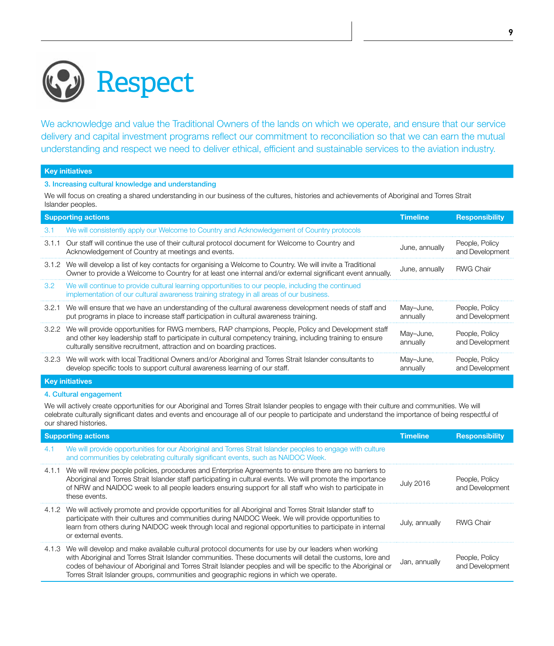

We acknowledge and value the Traditional Owners of the lands on which we operate, and ensure that our service delivery and capital investment programs reflect our commitment to reconciliation so that we can earn the mutual understanding and respect we need to deliver ethical, efficient and sustainable services to the aviation industry.

#### Key initiatives

3. Increasing cultural knowledge and understanding

We will focus on creating a shared understanding in our business of the cultures, histories and achievements of Aboriginal and Torres Strait Islander peoples.

|                        | <b>Supporting actions</b>                                                                                                                                                                                                                                                                          |                       | <b>Responsibility</b>             |
|------------------------|----------------------------------------------------------------------------------------------------------------------------------------------------------------------------------------------------------------------------------------------------------------------------------------------------|-----------------------|-----------------------------------|
| 3.1                    | We will consistently apply our Welcome to Country and Acknowledgement of Country protocols                                                                                                                                                                                                         |                       |                                   |
| 3.1.1                  | Our staff will continue the use of their cultural protocol document for Welcome to Country and<br>Acknowledgement of Country at meetings and events.                                                                                                                                               | June, annually        | People, Policy<br>and Development |
|                        | 3.1.2 We will develop a list of key contacts for organising a Welcome to Country. We will invite a Traditional<br>Owner to provide a Welcome to Country for at least one internal and/or external significant event annually.                                                                      | June, annually        | <b>RWG Chair</b>                  |
| 3.2                    | We will continue to provide cultural learning opportunities to our people, including the continued<br>implementation of our cultural awareness training strategy in all areas of our business.                                                                                                     |                       |                                   |
| 3.2.1                  | We will ensure that we have an understanding of the cultural awareness development needs of staff and<br>put programs in place to increase staff participation in cultural awareness training.                                                                                                     | May-June,<br>annually | People, Policy<br>and Development |
|                        | 3.2.2 We will provide opportunities for RWG members, RAP champions, People, Policy and Development staff<br>and other key leadership staff to participate in cultural competency training, including training to ensure<br>culturally sensitive recruitment, attraction and on boarding practices. | May-June,<br>annually | People, Policy<br>and Development |
|                        | 3.2.3 We will work with local Traditional Owners and/or Aboriginal and Torres Strait Islander consultants to<br>develop specific tools to support cultural awareness learning of our staff.                                                                                                        | May-June,<br>annually | People, Policy<br>and Development |
| <b>Key initiatives</b> |                                                                                                                                                                                                                                                                                                    |                       |                                   |

### 4. Cultural engagement

We will actively create opportunities for our Aboriginal and Torres Strait Islander peoples to engage with their culture and communities. We will celebrate culturally significant dates and events and encourage all of our people to participate and understand the importance of being respectful of our shared histories.

| <b>Supporting actions</b> |                                                                                                                                                                                                                                                                                                                                                                                                                                  | <b>Timeline</b>  | <b>Responsibility</b>             |
|---------------------------|----------------------------------------------------------------------------------------------------------------------------------------------------------------------------------------------------------------------------------------------------------------------------------------------------------------------------------------------------------------------------------------------------------------------------------|------------------|-----------------------------------|
| 4.1                       | We will provide opportunities for our Aboriginal and Torres Strait Islander peoples to engage with culture<br>and communities by celebrating culturally significant events, such as NAIDOC Week.                                                                                                                                                                                                                                 |                  |                                   |
|                           | 4.1.1 We will review people policies, procedures and Enterprise Agreements to ensure there are no barriers to<br>Aboriginal and Torres Strait Islander staff participating in cultural events. We will promote the importance<br>of NRW and NAIDOC week to all people leaders ensuring support for all staff who wish to participate in<br>these events.                                                                         | <b>July 2016</b> | People, Policy<br>and Development |
|                           | 4.1.2 We will actively promote and provide opportunities for all Aboriginal and Torres Strait Islander staff to<br>participate with their cultures and communities during NAIDOC Week. We will provide opportunities to<br>learn from others during NAIDOC week through local and regional opportunities to participate in internal<br>or external events.                                                                       | July, annually   | <b>RWG Chair</b>                  |
|                           | 4.1.3 We will develop and make available cultural protocol documents for use by our leaders when working<br>with Aboriginal and Torres Strait Islander communities. These documents will detail the customs, lore and<br>codes of behaviour of Aboriginal and Torres Strait Islander peoples and will be specific to the Aboriginal or<br>Torres Strait Islander groups, communities and geographic regions in which we operate. | Jan, annually    | People, Policy<br>and Development |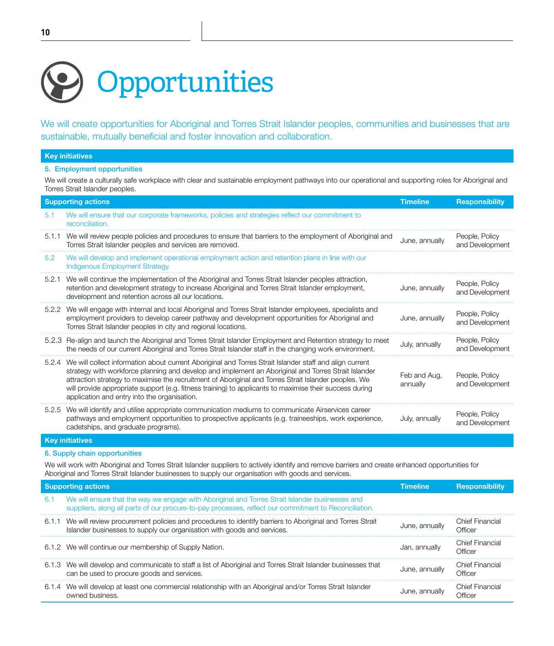# **Opportunities**

We will create opportunities for Aboriginal and Torres Strait Islander peoples, communities and businesses that are sustainable, mutually beneficial and foster innovation and collaboration.

| 5. Employment opportunities<br>We will create a culturally safe workplace with clear and sustainable employment pathways into our operational and supporting roles for Aboriginal and |                                                                                                                                                                                                                                                                                                                                                                                                                                                                                         |                          |                                   |
|---------------------------------------------------------------------------------------------------------------------------------------------------------------------------------------|-----------------------------------------------------------------------------------------------------------------------------------------------------------------------------------------------------------------------------------------------------------------------------------------------------------------------------------------------------------------------------------------------------------------------------------------------------------------------------------------|--------------------------|-----------------------------------|
| Torres Strait Islander peoples.                                                                                                                                                       |                                                                                                                                                                                                                                                                                                                                                                                                                                                                                         |                          |                                   |
|                                                                                                                                                                                       | <b>Supporting actions</b>                                                                                                                                                                                                                                                                                                                                                                                                                                                               | <b>Timeline</b>          | <b>Responsibility</b>             |
| 5.1                                                                                                                                                                                   | We will ensure that our corporate frameworks, policies and strategies reflect our commitment to<br>reconciliation.                                                                                                                                                                                                                                                                                                                                                                      |                          |                                   |
| 5.1.1                                                                                                                                                                                 | We will review people policies and procedures to ensure that barriers to the employment of Aboriginal and<br>Torres Strait Islander peoples and services are removed.                                                                                                                                                                                                                                                                                                                   | June, annually           | People, Policy<br>and Development |
| 5.2                                                                                                                                                                                   | We will develop and implement operational employment action and retention plans in line with our<br>Indigenous Employment Strategy.                                                                                                                                                                                                                                                                                                                                                     |                          |                                   |
| 5.2.1                                                                                                                                                                                 | We will continue the implementation of the Aboriginal and Torres Strait Islander peoples attraction,<br>retention and development strategy to increase Aboriginal and Torres Strait Islander employment,<br>development and retention across all our locations.                                                                                                                                                                                                                         | June, annually           | People, Policy<br>and Development |
|                                                                                                                                                                                       | 5.2.2 We will engage with internal and local Aboriginal and Torres Strait Islander employees, specialists and<br>employment providers to develop career pathway and development opportunities for Aboriginal and<br>Torres Strait Islander peoples in city and regional locations.                                                                                                                                                                                                      | June, annually           | People, Policy<br>and Development |
|                                                                                                                                                                                       | 5.2.3 Re-align and launch the Aboriginal and Torres Strait Islander Employment and Retention strategy to meet<br>the needs of our current Aboriginal and Torres Strait Islander staff in the changing work environment.                                                                                                                                                                                                                                                                 | July, annually           | People, Policy<br>and Development |
|                                                                                                                                                                                       | 5.2.4 We will collect information about current Aboriginal and Torres Strait Islander staff and align current<br>strategy with workforce planning and develop and implement an Aboriginal and Torres Strait Islander<br>attraction strategy to maximise the recruitment of Aboriginal and Torres Strait Islander peoples. We<br>will provide appropriate support (e.g. fitness training) to applicants to maximise their success during<br>application and entry into the organisation. | Feb and Aug.<br>annually | People, Policy<br>and Development |
|                                                                                                                                                                                       | 5.2.5 We will identify and utilise appropriate communication mediums to communicate Airservices career<br>pathways and employment opportunities to prospective applicants (e.g. traineeships, work experience,<br>cadetships, and graduate programs).                                                                                                                                                                                                                                   | July, annually           | People, Policy<br>and Development |

#### Key initiatives

#### 6. Supply chain opportunities

We will work with Aboriginal and Torres Strait Islander suppliers to actively identify and remove barriers and create enhanced opportunities for Aboriginal and Torres Strait Islander businesses to supply our organisation with goods and services.

| <b>Supporting actions</b> |                                                                                                                                                                                                          | Timeline       | <b>Responsibility</b>             |
|---------------------------|----------------------------------------------------------------------------------------------------------------------------------------------------------------------------------------------------------|----------------|-----------------------------------|
| 6.1                       | We will ensure that the way we engage with Aboriginal and Torres Strait Islander businesses and<br>suppliers, along all parts of our procure-to-pay processes, reflect our commitment to Reconciliation. |                |                                   |
|                           | 6.1.1 We will review procurement policies and procedures to identify barriers to Aboriginal and Torres Strait<br>Islander businesses to supply our organisation with goods and services.                 | June, annually | <b>Chief Financial</b><br>Officer |
|                           | 6.1.2 We will continue our membership of Supply Nation.                                                                                                                                                  | Jan, annually  | <b>Chief Financial</b><br>Officer |
|                           | 6.1.3 We will develop and communicate to staff a list of Aboriginal and Torres Strait Islander businesses that<br>can be used to procure goods and services.                                             | June, annually | <b>Chief Financial</b><br>Officer |
|                           | 6.1.4 We will develop at least one commercial relationship with an Aboriginal and/or Torres Strait Islander<br>owned business                                                                            | June, annually | <b>Chief Financial</b>            |

Key initiatives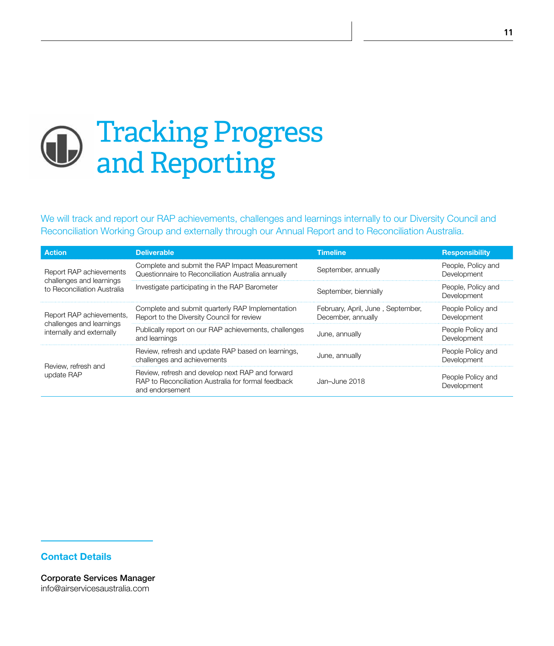### Tracking Progress  $\bigoplus$ and Reporting

We will track and report our RAP achievements, challenges and learnings internally to our Diversity Council and Reconciliation Working Group and externally through our Annual Report and to Reconciliation Australia.

| <b>Action</b>                                        | <b>Deliverable</b>                                                                                                         | <b>Timeline</b>                                         | <b>Responsibility</b>             |
|------------------------------------------------------|----------------------------------------------------------------------------------------------------------------------------|---------------------------------------------------------|-----------------------------------|
| Report RAP achievements<br>challenges and learnings  | Complete and submit the RAP Impact Measurement<br>Questionnaire to Reconciliation Australia annually                       | September, annually                                     | People, Policy and<br>Development |
| to Reconciliation Australia                          | Investigate participating in the RAP Barometer                                                                             | September, biennially                                   | People, Policy and<br>Development |
| Report RAP achievements,<br>challenges and learnings | Complete and submit quarterly RAP Implementation<br>Report to the Diversity Council for review                             | February, April, June, September,<br>December, annually | People Policy and<br>Development  |
| internally and externally                            | Publically report on our RAP achievements, challenges<br>and learnings                                                     | June, annually                                          | People Policy and<br>Development  |
| Review, refresh and                                  | Review, refresh and update RAP based on learnings,<br>challenges and achievements                                          | June, annually                                          | People Policy and<br>Development  |
| update RAP                                           | Review, refresh and develop next RAP and forward<br>RAP to Reconciliation Australia for formal feedback<br>and endorsement | Jan-June 2018                                           | People Policy and<br>Development  |

### Contact Details

Corporate Services Manager info@airservicesaustralia.com